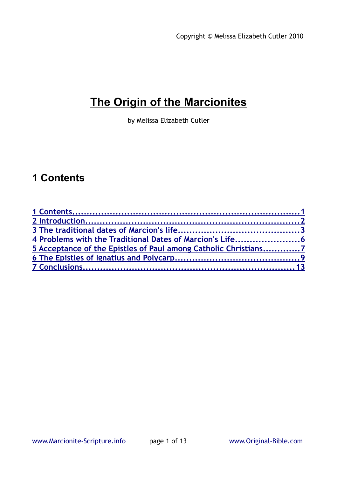# **The Origin of the Marcionites**

by Melissa Elizabeth Cutler

## <span id="page-0-0"></span>**1 Contents**

| 4 Problems with the Traditional Dates of Marcion's Life6        |  |
|-----------------------------------------------------------------|--|
| 5 Acceptance of the Epistles of Paul among Catholic Christians7 |  |
|                                                                 |  |
|                                                                 |  |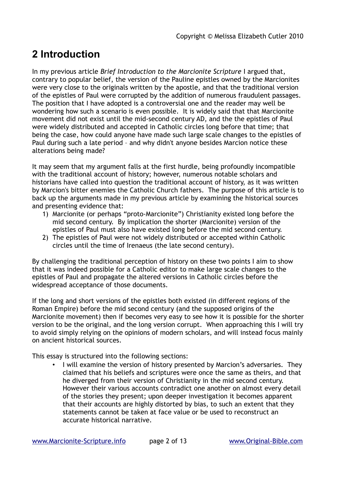# <span id="page-1-0"></span>**2 Introduction**

In my previous article *Brief Introduction to the Marcionite Scripture* I argued that, contrary to popular belief, the version of the Pauline epistles owned by the Marcionites were very close to the originals written by the apostle, and that the traditional version of the epistles of Paul were corrupted by the addition of numerous fraudulent passages. The position that I have adopted is a controversial one and the reader may well be wondering how such a scenario is even possible. It is widely said that that Marcionite movement did not exist until the mid-second century AD, and the the epistles of Paul were widely distributed and accepted in Catholic circles long before that time; that being the case, how could anyone have made such large scale changes to the epistles of Paul during such a late period – and why didn't anyone besides Marcion notice these alterations being made?

It may seem that my argument falls at the first hurdle, being profoundly incompatible with the traditional account of history; however, numerous notable scholars and historians have called into question the traditional account of history, as it was written by Marcion's bitter enemies the Catholic Church fathers. The purpose of this article is to back up the arguments made in my previous article by examining the historical sources and presenting evidence that:

- 1) Marcionite (or perhaps "proto-Marcionite") Christianity existed long before the mid second century. By implication the shorter (Marcionite) version of the epistles of Paul must also have existed long before the mid second century.
- 2) The epistles of Paul were not widely distributed or accepted within Catholic circles until the time of Irenaeus (the late second century).

By challenging the traditional perception of history on these two points I aim to show that it was indeed possible for a Catholic editor to make large scale changes to the epistles of Paul and propagate the altered versions in Catholic circles before the widespread acceptance of those documents.

If the long and short versions of the epistles both existed (in different regions of the Roman Empire) before the mid second century (and the supposed origins of the Marcionite movement) then if becomes very easy to see how it is possible for the shorter version to be the original, and the long version corrupt. When approaching this I will try to avoid simply relying on the opinions of modern scholars, and will instead focus mainly on ancient historical sources.

This essay is structured into the following sections:

• I will examine the version of history presented by Marcion's adversaries. They claimed that his beliefs and scriptures were once the same as theirs, and that he diverged from their version of Christianity in the mid second century. However their various accounts contradict one another on almost every detail of the stories they present; upon deeper investigation it becomes apparent that their accounts are highly distorted by bias, to such an extent that they statements cannot be taken at face value or be used to reconstruct an accurate historical narrative.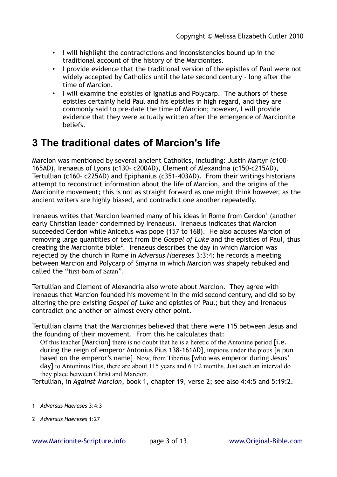- I will highlight the contradictions and inconsistencies bound up in the traditional account of the history of the Marcionites.
- I provide evidence that the traditional version of the epistles of Paul were not widely accepted by Catholics until the late second century - long after the time of Marcion.
- I will examine the epistles of Ignatius and Polycarp. The authors of these epistles certainly held Paul and his epistles in high regard, and they are commonly said to pre-date the time of Marcion; however, I will provide evidence that they were actually written after the emergence of Marcionite beliefs.

### <span id="page-2-0"></span>**3 The traditional dates of Marcion's life**

Marcion was mentioned by several ancient Catholics, including: Justin Martyr (c100- 165AD), Irenaeus of Lyons (c130– c200AD), Clement of Alexandria (c150-c215AD), Tertullian (c160– c225AD) and Epiphanius (c351–403AD). From their writings historians attempt to reconstruct information about the life of Marcion, and the origins of the Marcionite movement; this is not as straight forward as one might think however, as the ancient writers are highly biased, and contradict one another repeatedly.

Irenaeus writes that Marcion learned many of his ideas in Rome from Cerdon<sup>[1](#page-2-1)</sup> (another early Christian leader condemned by Irenaeus). Irenaeus indicates that Marcion succeeded Cerdon while Anicetus was pope (157 to 168). He also accuses Marcion of removing large quantities of text from the *Gospel of Luke* and the epistles of Paul, thus creating the Marcionite bible<sup>[2](#page-2-2)</sup>. Irenaeus describes the day in which Marcion was rejected by the church in Rome in *Adversus Haereses* 3:3:4; he records a meeting between Marcion and Polycarp of Smyrna in which Marcion was shapely rebuked and called the "first-born of Satan".

Tertullian and Clement of Alexandria also wrote about Marcion. They agree with Irenaeus that Marcion founded his movement in the mid second century, and did so by altering the pre-existing *Gospel of Luke* and epistles of Paul; but they and Irenaeus contradict one another on almost every other point.

Tertullian claims that the Marcionites believed that there were 115 between Jesus and the founding of their movement. From this he calculates that:

Of this teacher [Marcion] there is no doubt that he is a heretic of the Antonine period [i.e. during the reign of emperor Antonius Pius 138-161AD], impious under the pious [a pun based on the emperor's name]. Now, from Tiberius [who was emperor during Jesus' day] to Antoninus Pius, there are about 115 years and 6 1/2 months. Just such an interval do they place between Christ and Marcion.

Tertullian, in *Against Marcion*, book 1, chapter 19, verse 2; see also 4:4:5 and 5:19:2.

<span id="page-2-1"></span><sup>1</sup> *Adversus Haereses* 3:4:3

<span id="page-2-2"></span><sup>2</sup> *Adversus Haereses* 1:27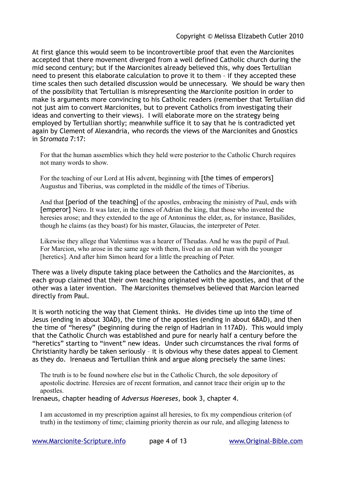At first glance this would seem to be incontrovertible proof that even the Marcionites accepted that there movement diverged from a well defined Catholic church during the mid second century; but if the Marcionites already believed this, why does Tertullian need to present this elaborate calculation to prove it to them – if they accepted these time scales then such detailed discussion would be unnecessary. We should be wary then of the possibility that Tertullian is misrepresenting the Marcionite position in order to make is arguments more convincing to his Catholic readers (remember that Tertullian did not just aim to convert Marcionites, but to prevent Catholics from investigating their ideas and converting to their views). I will elaborate more on the strategy being employed by Tertullian shortly; meanwhile suffice it to say that he is contradicted yet again by Clement of Alexandria, who records the views of the Marcionites and Gnostics in *Stromata* 7:17:

For that the human assemblies which they held were posterior to the Catholic Church requires not many words to show.

For the teaching of our Lord at His advent, beginning with [the times of emperors] Augustus and Tiberius, was completed in the middle of the times of Tiberius.

And that [period of the teaching] of the apostles, embracing the ministry of Paul, ends with [emperor] Nero. It was later, in the times of Adrian the king, that those who invented the heresies arose; and they extended to the age of Antoninus the elder, as, for instance, Basilides, though he claims (as they boast) for his master, Glaucias, the interpreter of Peter.

Likewise they allege that Valentinus was a hearer of Theudas. And he was the pupil of Paul. For Marcion, who arose in the same age with them, lived as an old man with the younger [heretics]. And after him Simon heard for a little the preaching of Peter.

There was a lively dispute taking place between the Catholics and the Marcionites, as each group claimed that their own teaching originated with the apostles, and that of the other was a later invention. The Marcionites themselves believed that Marcion learned directly from Paul.

It is worth noticing the way that Clement thinks. He divides time up into the time of Jesus (ending in about 30AD), the time of the apostles (ending in about 68AD), and then the time of "heresy" (beginning during the reign of Hadrian in 117AD). This would imply that the Catholic Church was established and pure for nearly half a century before the "heretics" starting to "invent" new ideas. Under such circumstances the rival forms of Christianity hardly be taken seriously – it is obvious why these dates appeal to Clement as they do. Irenaeus and Tertullian think and argue along precisely the same lines:

The truth is to be found nowhere else but in the Catholic Church, the sole depository of apostolic doctrine. Heresies are of recent formation, and cannot trace their origin up to the apostles

Irenaeus, chapter heading of *Adversus Haereses*, book 3, chapter 4.

I am accustomed in my prescription against all heresies, to fix my compendious criterion (of truth) in the testimony of time; claiming priority therein as our rule, and alleging lateness to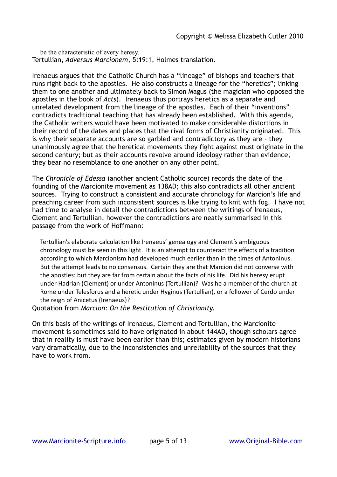be the characteristic of every heresy. Tertullian, *Adversus Marcionem*, 5:19:1, Holmes translation.

Irenaeus argues that the Catholic Church has a "lineage" of bishops and teachers that runs right back to the apostles. He also constructs a lineage for the "heretics"; linking them to one another and ultimately back to Simon Magus (the magician who opposed the apostles in the book of *Acts*). Irenaeus thus portrays heretics as a separate and unrelated development from the lineage of the apostles. Each of their "inventions" contradicts traditional teaching that has already been established. With this agenda, the Catholic writers would have been motivated to make considerable distortions in their record of the dates and places that the rival forms of Christianity originated. This is why their separate accounts are so garbled and contradictory as they are – they unanimously agree that the heretical movements they fight against must originate in the second century; but as their accounts revolve around ideology rather than evidence, they bear no resemblance to one another on any other point.

The *Chronicle of Edessa* (another ancient Catholic source) records the date of the founding of the Marcionite movement as 138AD; this also contradicts all other ancient sources. Trying to construct a consistent and accurate chronology for Marcion's life and preaching career from such inconsistent sources is like trying to knit with fog. I have not had time to analyse in detail the contradictions between the writings of Irenaeus, Clement and Tertullian, however the contradictions are neatly summarised in this passage from the work of Hoffmann:

Tertullian's elaborate calculation like Irenaeus' genealogy and Clement's ambiguous chronology must be seen in this light. It is an attempt to counteract the effects of a tradition according to which Marcionism had developed much earlier than in the times of Antoninus. But the attempt leads to no consensus. Certain they are that Marcion did not converse with the apostles: but they are far from certain about the facts of his life. Did his heresy erupt under Hadrian (Clement) or under Antoninus (Tertullian)? Was he a member of the church at Rome under Telesforus and a heretic under Hyginus (Tertullian), or a follower of Cerdo under the reign of Anicetus (Irenaeus)?

Quotation from *Marcion: On the Restitution of Christianity*.

On this basis of the writings of Irenaeus, Clement and Tertullian, the Marcionite movement is sometimes said to have originated in about 144AD, though scholars agree that in reality is must have been earlier than this; estimates given by modern historians vary dramatically, due to the inconsistencies and unreliability of the sources that they have to work from.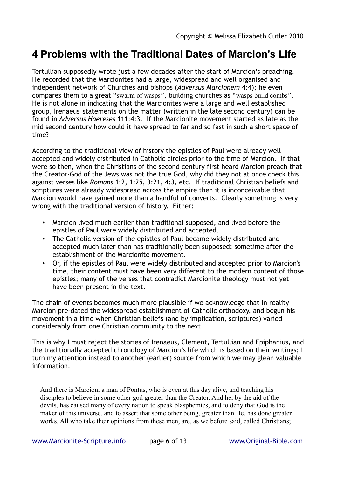#### <span id="page-5-0"></span>**4 Problems with the Traditional Dates of Marcion's Life**

Tertullian supposedly wrote just a few decades after the start of Marcion's preaching. He recorded that the Marcionites had a large, widespread and well organised and independent network of Churches and bishops (*Adversus Marcionem* 4:4); he even compares them to a great "swarm of wasps", building churches as "wasps build combs". He is not alone in indicating that the Marcionites were a large and well established group, Irenaeus' statements on the matter (written in the late second century) can be found in *Adversus Haereses* 111:4:3. If the Marcionite movement started as late as the mid second century how could it have spread to far and so fast in such a short space of time?

According to the traditional view of history the epistles of Paul were already well accepted and widely distributed in Catholic circles prior to the time of Marcion. If that were so then, when the Christians of the second century first heard Marcion preach that the Creator-God of the Jews was not the true God, why did they not at once check this against verses like *Romans* 1:2, 1:25, 3:21, 4:3, etc. If traditional Christian beliefs and scriptures were already widespread across the empire then it is inconceivable that Marcion would have gained more than a handful of converts. Clearly something is very wrong with the traditional version of history. Either:

- Marcion lived much earlier than traditional supposed, and lived before the epistles of Paul were widely distributed and accepted.
- The Catholic version of the epistles of Paul became widely distributed and accepted much later than has traditionally been supposed: sometime after the establishment of the Marcionite movement.
- Or, if the epistles of Paul were widely distributed and accepted prior to Marcion's time, their content must have been very different to the modern content of those epistles; many of the verses that contradict Marcionite theology must not yet have been present in the text.

The chain of events becomes much more plausible if we acknowledge that in reality Marcion pre-dated the widespread establishment of Catholic orthodoxy, and begun his movement in a time when Christian beliefs (and by implication, scriptures) varied considerably from one Christian community to the next.

This is why I must reject the stories of Irenaeus, Clement, Tertullian and Epiphanius, and the traditionally accepted chronology of Marcion's life which is based on their writings; I turn my attention instead to another (earlier) source from which we may glean valuable information.

And there is Marcion, a man of Pontus, who is even at this day alive, and teaching his disciples to believe in some other god greater than the Creator. And he, by the aid of the devils, has caused many of every nation to speak blasphemies, and to deny that God is the maker of this universe, and to assert that some other being, greater than He, has done greater works. All who take their opinions from these men, are, as we before said, called Christians;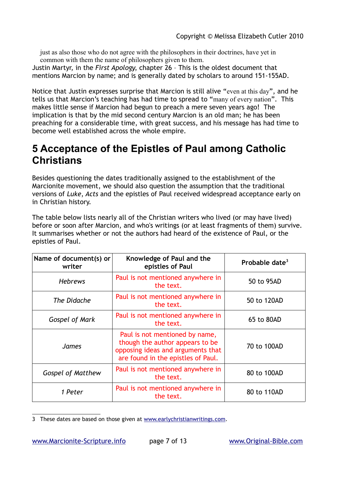just as also those who do not agree with the philosophers in their doctrines, have yet in common with them the name of philosophers given to them.

Justin Martyr, in the *First Apology*, chapter 26 – This is the oldest document that mentions Marcion by name; and is generally dated by scholars to around 151-155AD.

Notice that Justin expresses surprise that Marcion is still alive "even at this day", and he tells us that Marcion's teaching has had time to spread to "many of every nation". This makes little sense if Marcion had begun to preach a mere seven years ago! The implication is that by the mid second century Marcion is an old man; he has been preaching for a considerable time, with great success, and his message has had time to become well established across the whole empire.

#### <span id="page-6-0"></span>**5 Acceptance of the Epistles of Paul among Catholic Christians**

Besides questioning the dates traditionally assigned to the establishment of the Marcionite movement, we should also question the assumption that the traditional versions of *Luke*, *Acts* and the epistles of Paul received widespread acceptance early on in Christian history.

The table below lists nearly all of the Christian writers who lived (or may have lived) before or soon after Marcion, and who's writings (or at least fragments of them) survive. It summarises whether or not the authors had heard of the existence of Paul, or the epistles of Paul.

| Name of document(s) or<br>writer | Knowledge of Paul and the<br>epistles of Paul                                                                                                | Probable date <sup>3</sup> |
|----------------------------------|----------------------------------------------------------------------------------------------------------------------------------------------|----------------------------|
| <b>Hebrews</b>                   | Paul is not mentioned anywhere in<br>the text.                                                                                               | 50 to 95AD                 |
| The Didache                      | Paul is not mentioned anywhere in<br>the text.                                                                                               | 50 to 120AD                |
| Gospel of Mark                   | Paul is not mentioned anywhere in<br>the text.                                                                                               | 65 to 80AD                 |
| <b>James</b>                     | Paul is not mentioned by name,<br>though the author appears to be<br>opposing ideas and arguments that<br>are found in the epistles of Paul. | 70 to 100AD                |
| <b>Gospel of Matthew</b>         | Paul is not mentioned anywhere in<br>the text.                                                                                               | 80 to 100AD                |
| 1 Peter                          | Paul is not mentioned anywhere in<br>the text.                                                                                               | 80 to 110AD                |

<span id="page-6-1"></span><sup>3</sup> These dates are based on those given at [www.earlychristianwritings.com.](http://www.earlychristianwritings.com/)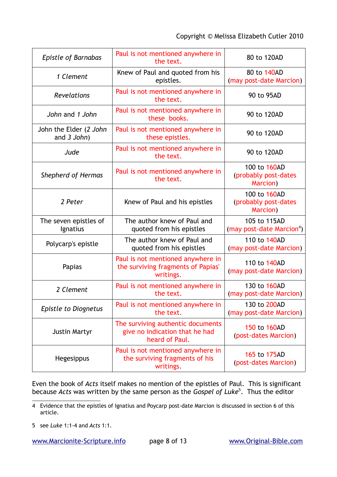| <b>Epistle of Barnabas</b>            | Paul is not mentioned anywhere in<br>the text.                                        | 80 to 120AD                                           |
|---------------------------------------|---------------------------------------------------------------------------------------|-------------------------------------------------------|
| 1 Clement                             | Knew of Paul and quoted from his<br>epistles.                                         | 80 to 140AD<br>(may post-date Marcion)                |
| <b>Revelations</b>                    | Paul is not mentioned anywhere in<br>the text.                                        | 90 to 95AD                                            |
| John and 1 John                       | Paul is not mentioned anywhere in<br>these books.                                     | 90 to 120AD                                           |
| John the Elder (2 John<br>and 3 John) | Paul is not mentioned anywhere in<br>these epistles.                                  | 90 to 120AD                                           |
| Jude                                  | Paul is not mentioned anywhere in<br>the text.                                        | 90 to 120AD                                           |
| <b>Shepherd of Hermas</b>             | Paul is not mentioned anywhere in<br>the text.                                        | 100 to 160AD<br>(probably post-dates<br>Marcion)      |
| 2 Peter                               | Knew of Paul and his epistles                                                         | 100 to 160AD<br>(probably post-dates<br>Marcion)      |
| The seven epistles of<br>Ignatius     | The author knew of Paul and<br>quoted from his epistles                               | 105 to 115AD<br>(may post-date Marcion <sup>4</sup> ) |
| Polycarp's epistle                    | The author knew of Paul and<br>quoted from his epistles                               | 110 to 140AD<br>(may post-date Marcion)               |
| Papias                                | Paul is not mentioned anywhere in<br>the surviving fragments of Papias'<br>writings.  | 110 to 140AD<br>(may post-date Marcion)               |
| 2 Clement                             | Paul is not mentioned anywhere in<br>the text.                                        | 130 to 160AD<br>(may post-date Marcion)               |
| <b>Epistle to Diognetus</b>           | Paul is not mentioned anywhere in<br>the text.                                        | 130 to 200AD<br>(may post-date Marcion)               |
| <b>Justin Martyr</b>                  | The surviving authentic documents<br>give no indication that he had<br>heard of Paul. | 150 to 160AD<br>(post-dates Marcion)                  |
| Hegesippus                            | Paul is not mentioned anywhere in<br>the surviving fragments of his<br>writings.      | 165 to 175AD<br>(post-dates Marcion)                  |

Even the book of *Acts* itself makes no mention of the epistles of Paul. This is significant because *Acts* was written by the same person as the *Gospel of Luke*[5](#page-7-1) . Thus the editor

<span id="page-7-0"></span><sup>4</sup> Evidence that the epistles of Ignatius and Poycarp post-date Marcion is discussed in section 6 of this article.

<span id="page-7-1"></span><sup>5</sup> see *Luke* 1:1-4 and *Acts* 1:1.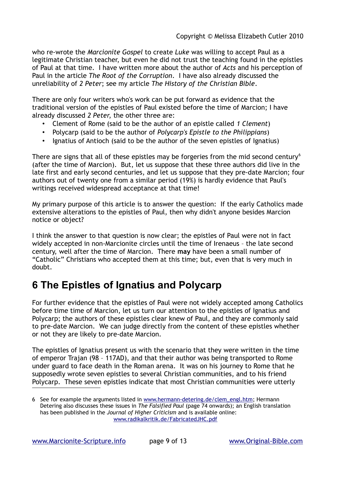who re-wrote the *Marcionite Gospel* to create *Luke* was willing to accept Paul as a legitimate Christian teacher, but even he did not trust the teaching found in the epistles of Paul at that time. I have written more about the author of *Acts* and his perception of Paul in the article *The Root of the Corruption*. I have also already discussed the unreliability of *2 Peter*; see my article *The History of the Christian Bible*.

There are only four writers who's work can be put forward as evidence that the traditional version of the epistles of Paul existed before the time of Marcion; I have already discussed *2 Peter*, the other three are:

- Clement of Rome (said to be the author of an epistle called *1 Clement*)
- Polycarp (said to be the author of *Polycarp's Epistle to the Philippians*)
- Ignatius of Antioch (said to be the author of the seven epistles of Ignatius)

There are signs that all of these epistles may be forgeries from the mid second century<sup>[6](#page-8-1)</sup> (after the time of Marcion). But, let us suppose that these three authors did live in the late first and early second centuries, and let us suppose that they pre-date Marcion; four authors out of twenty one from a similar period (19%) is hardly evidence that Paul's writings received widespread acceptance at that time!

My primary purpose of this article is to answer the question: If the early Catholics made extensive alterations to the epistles of Paul, then why didn't anyone besides Marcion notice or object?

I think the answer to that question is now clear; the epistles of Paul were not in fact widely accepted in non-Marcionite circles until the time of Irenaeus – the late second century, well after the time of Marcion. There **may** have been a small number of "Catholic" Christians who accepted them at this time; but, even that is very much in doubt.

### <span id="page-8-0"></span>**6 The Epistles of Ignatius and Polycarp**

For further evidence that the epistles of Paul were not widely accepted among Catholics before time time of Marcion, let us turn our attention to the epistles of Ignatius and Polycarp; the authors of these epistles clear knew of Paul, and they are commonly said to pre-date Marcion. We can judge directly from the content of these epistles whether or not they are likely to pre-date Marcion.

The epistles of Ignatius present us with the scenario that they were written in the time of emperor Trajan (98 – 117AD), and that their author was being transported to Rome under guard to face death in the Roman arena. It was on his journey to Rome that he supposedly wrote seven epistles to several Christian communities, and to his friend Polycarp. These seven epistles indicate that most Christian communities were utterly

<span id="page-8-1"></span><sup>6</sup> See for example the arguments listed in [www.hermann-detering.de/clem\\_engl.htm;](http://www.hermann-detering.de/clem_engl.htm) Hermann Detering also discusses these issues in *The Falsified Paul* (page 74 onwards); an English translation has been published in the *Journal of Higher Criticism* and is available online: [www.radikalkritik.de/FabricatedJHC.pdf](http://www.radikalkritik.de/FabricatedJHC.pdf)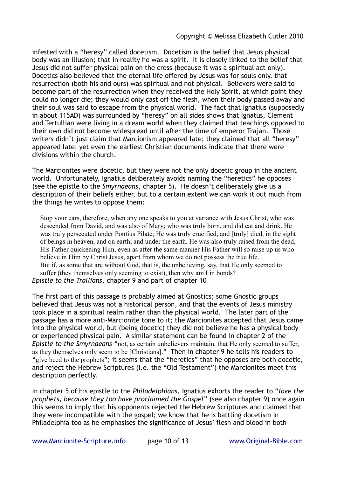infested with a "heresy" called docetism. Docetism is the belief that Jesus physical body was an illusion; that in reality he was a spirit. It is closely linked to the belief that Jesus did not suffer physical pain on the cross (because it was a spiritual act only). Docetics also believed that the eternal life offered by Jesus was for souls only, that resurrection (both his and ours) was spiritual and not physical. Believers were said to become part of the resurrection when they received the Holy Spirit, at which point they could no longer die; they would only cast off the flesh, when their body passed away and their soul was said to escape from the physical world. The fact that Ignatius (supposedly in about 115AD) was surrounded by "heresy" on all sides shows that Ignatus, Clement and Tertullian were living in a dream world when they claimed that teachings opposed to their own did not become widespread until after the time of emperor Trajan. Those writers didn't just claim that Marcionism appeared late; they claimed that all "heresy" appeared late; yet even the earliest Christian documents indicate that there were divisions within the church.

The Marcionites were docetic, but they were not the only docetic group in the ancient world. Unfortunately, Ignatius deliberately avoids naming the "heretics" he opposes (see the epistle to the *Smyrnaeans*, chapter 5). He doesn't deliberately give us a description of their beliefs either, but to a certain extent we can work it out much from the things he writes to oppose them:

Stop your ears, therefore, when any one speaks to you at variance with Jesus Christ, who was descended from David, and was also of Mary; who was truly born, and did eat and drink. He was truly persecuted under Pontius Pilate; He was truly crucified, and [truly] died, in the sight of beings in heaven, and on earth, and under the earth. He was also truly raised from the dead, His Father quickening Him, even as after the same manner His Father will so raise up us who believe in Him by Christ Jesus, apart from whom we do not possess the true life. But if, as some that are without God, that is, the unbelieving, say, that He only seemed to suffer (they themselves only seeming to exist), then why am I in bonds? *Epistle to the Trallians*, chapter 9 and part of chapter 10

The first part of this passage is probably aimed at Gnostics; some Gnostic groups believed that Jesus was not a historical person, and that the events of Jesus ministry took place in a spiritual realm rather than the physical world. The later part of the passage has a more anti-Marcionite tone to it; the Marcionites accepted that Jesus came into the physical world, but (being docetic) they did not believe he has a physical body or experienced physical pain. A similar statement can be found in chapter 2 of the *Epistle to the Smyrnaeans* "not, as certain unbelievers maintain, that He only seemed to suffer, as they themselves only seem to be [Christians]." Then in chapter 9 he tells his readers to "give heed to the prophets"; it seems that the "heretics" that he opposes are both docetic, and reject the Hebrew Scriptures (i.e. the "Old Testament") the Marcionites meet this description perfectly.

In chapter 5 of his epistle to the *Philadelphians*, Ignatius exhorts the reader to "*love the prophets, because they too have proclaimed the Gospel*" (see also chapter 9) once again this seems to imply that his opponents rejected the Hebrew Scriptures and claimed that they were incompatible with the gospel; we know that he is battling docetism in Philadelphia too as he emphasises the significance of Jesus' flesh and blood in both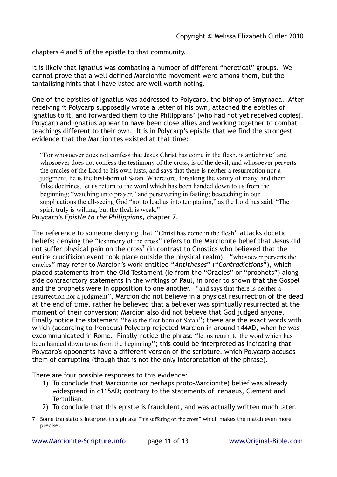chapters 4 and 5 of the epistle to that community.

It is likely that Ignatius was combating a number of different "heretical" groups. We cannot prove that a well defined Marcionite movement were among them, but the tantalising hints that I have listed are well worth noting.

One of the epistles of Ignatius was addressed to Polycarp, the bishop of Smyrnaea. After receiving it Polycarp supposedly wrote a letter of his own, attached the epistles of Ignatius to it, and forwarded them to the Philippians' (who had not yet received copies). Polycarp and Ignatius appear to have been close allies and working together to combat teachings different to their own. It is in Polycarp's epistle that we find the strongest evidence that the Marcionites existed at that time:

"For whosoever does not confess that Jesus Christ has come in the flesh, is antichrist;" and whosoever does not confess the testimony of the cross, is of the devil; and whosoever perverts the oracles of the Lord to his own lusts, and says that there is neither a resurrection nor a judgment, he is the first-born of Satan. Wherefore, forsaking the vanity of many, and their false doctrines, let us return to the word which has been handed down to us from the beginning; "watching unto prayer," and persevering in fasting; beseeching in our supplications the all-seeing God "not to lead us into temptation," as the Lord has said: "The spirit truly is willing, but the flesh is weak."

Polycarp's *Epistle to the Philippians*, chapter 7.

The reference to someone denying that "Christ has come in the flesh" attacks docetic beliefs; denying the "testimony of the cross" refers to the Marcionite belief that Jesus did not suffer physical pain on the cross<sup>[7](#page-10-0)</sup> (in contrast to Gnostics who believed that the entire crucifixion event took place outside the physical realm). "whosoever perverts the oracles" may refer to Marcion's work entitled "*Antitheses*" ("*Contradictions*"), which placed statements from the Old Testament (ie from the "Oracles" or "prophets") along side contradictory statements in the writings of Paul, in order to shown that the Gospel and the prophets were in opposition to one another. "and says that there is neither a resurrection nor a judgment", Marcion did not believe in a physical resurrection of the dead at the end of time, rather he believed that a believer was spiritually resurrected at the moment of their conversion; Marcion also did not believe that God judged anyone. Finally notice the statement "he is the first-born of Satan"; these are the exact words with which (according to Irenaeus) Polycarp rejected Marcion in around 144AD, when he was excommunicated in Rome. Finally notice the phrase "let us return to the word which has been handed down to us from the beginning"; this could be interpreted as indicating that Polycarp's opponents have a different version of the scripture, which Polycarp accuses them of corrupting (though that is not the only interpretation of the phrase).

There are four possible responses to this evidence:

- 1) To conclude that Marcionite (or perhaps proto-Marcionite) belief was already widespread in c115AD; contrary to the statements of Irenaeus, Clement and Tertullian.
- 2) To conclude that this epistle is fraudulent, and was actually written much later.

<span id="page-10-0"></span><sup>7</sup> Some translators interpret this phrase "his suffering on the cross" which makes the match even more precise.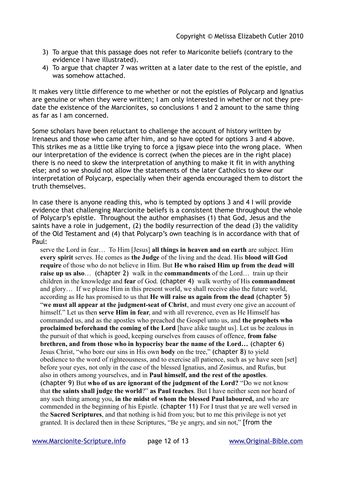- 3) To argue that this passage does not refer to Mariconite beliefs (contrary to the evidence I have illustrated).
- 4) To argue that chapter 7 was written at a later date to the rest of the epistle, and was somehow attached.

It makes very little difference to me whether or not the epistles of Polycarp and Ignatius are genuine or when they were written; I am only interested in whether or not they predate the existence of the Marcionites, so conclusions 1 and 2 amount to the same thing as far as I am concerned.

Some scholars have been reluctant to challenge the account of history written by Irenaeus and those who came after him, and so have opted for options 3 and 4 above. This strikes me as a little like trying to force a jigsaw piece into the wrong place. When our interpretation of the evidence is correct (when the pieces are in the right place) there is no need to skew the interpretation of anything to make it fit in with anything else; and so we should not allow the statements of the later Catholics to skew our interpretation of Polycarp, especially when their agenda encouraged them to distort the truth themselves.

In case there is anyone reading this, who is tempted by options 3 and 4 I will provide evidence that challenging Marcionite beliefs is a consistent theme throughout the whole of Polycarp's epistle. Throughout the author emphasises (1) that God, Jesus and the saints have a role in judgement, (2) the bodily resurrection of the dead (3) the validity of the Old Testament and (4) that Polycarp's own teaching is in accordance with that of Paul:

serve the Lord in fear… To Him [Jesus] **all things in heaven and on earth** are subject. Him **every spirit** serves. He comes as **the Judge** of the living and the dead. His **blood will God require** of those who do not believe in Him. But **He who raised Him up from the dead will raise up us also**… (chapter 2) walk in the **commandments** of the Lord… train up their children in the knowledge and **fear** of God. (chapter 4) walk worthy of His **commandment** and glory… If we please Him in this present world, we shall receive also the future world, according as He has promised to us that **He will raise us again from the dead** (chapter 5) "**we must all appear at the judgment-seat of Christ**, and must every one give an account of himself." Let us then **serve Him in fear**, and with all reverence, even as He Himself has commanded us, and as the apostles who preached the Gospel unto us, and **the prophets who proclaimed beforehand the coming of the Lord** [have alike taught us]. Let us be zealous in the pursuit of that which is good, keeping ourselves from causes of offence, **from false brethren, and from those who in hypocrisy bear the name of the Lord…** (chapter 6) Jesus Christ, "who bore our sins in His own **body** on the tree," (chapter 8) to yield obedience to the word of righteousness, and to exercise all patience, such as ye have seen [set] before your eyes, not only in the case of the blessed Ignatius, and Zosimus, and Rufus, but also in others among yourselves, and in **Paul himself, and the rest of the apostles**. (chapter 9) But **who of us are ignorant of the judgment of the Lord?** "Do we not know that **the saints shall judge the world**?" **as Paul teaches**. But I have neither seen nor heard of any such thing among you, **in the midst of whom the blessed Paul laboured,** and who are commended in the beginning of his Epistle. (chapter 11) For I trust that ye are well versed in the **Sacred Scriptures**, and that nothing is hid from you; but to me this privilege is not yet granted. It is declared then in these Scriptures, "Be ye angry, and sin not," [from the